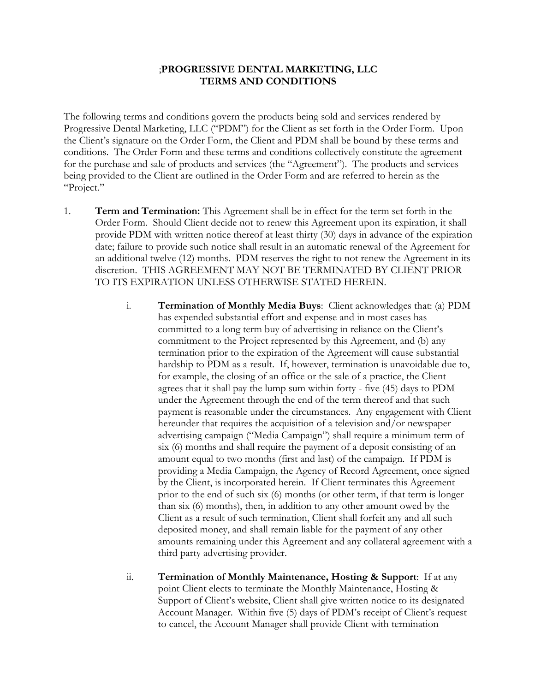## ;**PROGRESSIVE DENTAL MARKETING, LLC TERMS AND CONDITIONS**

The following terms and conditions govern the products being sold and services rendered by Progressive Dental Marketing, LLC ("PDM") for the Client as set forth in the Order Form. Upon the Client's signature on the Order Form, the Client and PDM shall be bound by these terms and conditions. The Order Form and these terms and conditions collectively constitute the agreement for the purchase and sale of products and services (the "Agreement"). The products and services being provided to the Client are outlined in the Order Form and are referred to herein as the "Project."

- 1. **Term and Termination:** This Agreement shall be in effect for the term set forth in the Order Form. Should Client decide not to renew this Agreement upon its expiration, it shall provide PDM with written notice thereof at least thirty (30) days in advance of the expiration date; failure to provide such notice shall result in an automatic renewal of the Agreement for an additional twelve (12) months. PDM reserves the right to not renew the Agreement in its discretion. THIS AGREEMENT MAY NOT BE TERMINATED BY CLIENT PRIOR TO ITS EXPIRATION UNLESS OTHERWISE STATED HEREIN.
	- i. **Termination of Monthly Media Buys**: Client acknowledges that: (a) PDM has expended substantial effort and expense and in most cases has committed to a long term buy of advertising in reliance on the Client's commitment to the Project represented by this Agreement, and (b) any termination prior to the expiration of the Agreement will cause substantial hardship to PDM as a result. If, however, termination is unavoidable due to, for example, the closing of an office or the sale of a practice, the Client agrees that it shall pay the lump sum within forty - five (45) days to PDM under the Agreement through the end of the term thereof and that such payment is reasonable under the circumstances. Any engagement with Client hereunder that requires the acquisition of a television and/or newspaper advertising campaign ("Media Campaign") shall require a minimum term of six (6) months and shall require the payment of a deposit consisting of an amount equal to two months (first and last) of the campaign. If PDM is providing a Media Campaign, the Agency of Record Agreement, once signed by the Client, is incorporated herein. If Client terminates this Agreement prior to the end of such six (6) months (or other term, if that term is longer than six (6) months), then, in addition to any other amount owed by the Client as a result of such termination, Client shall forfeit any and all such deposited money, and shall remain liable for the payment of any other amounts remaining under this Agreement and any collateral agreement with a third party advertising provider.
	- ii. **Termination of Monthly Maintenance, Hosting & Support**: If at any point Client elects to terminate the Monthly Maintenance, Hosting & Support of Client's website, Client shall give written notice to its designated Account Manager. Within five (5) days of PDM's receipt of Client's request to cancel, the Account Manager shall provide Client with termination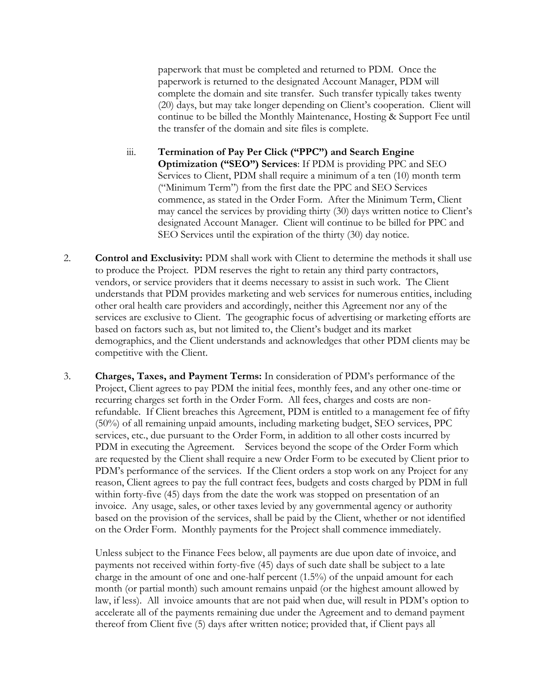paperwork that must be completed and returned to PDM. Once the paperwork is returned to the designated Account Manager, PDM will complete the domain and site transfer. Such transfer typically takes twenty (20) days, but may take longer depending on Client's cooperation. Client will continue to be billed the Monthly Maintenance, Hosting & Support Fee until the transfer of the domain and site files is complete.

- iii. **Termination of Pay Per Click ("PPC") and Search Engine Optimization ("SEO") Services**: If PDM is providing PPC and SEO Services to Client, PDM shall require a minimum of a ten (10) month term ("Minimum Term") from the first date the PPC and SEO Services commence, as stated in the Order Form. After the Minimum Term, Client may cancel the services by providing thirty (30) days written notice to Client's designated Account Manager. Client will continue to be billed for PPC and SEO Services until the expiration of the thirty (30) day notice.
- 2. **Control and Exclusivity:** PDM shall work with Client to determine the methods it shall use to produce the Project. PDM reserves the right to retain any third party contractors, vendors, or service providers that it deems necessary to assist in such work. The Client understands that PDM provides marketing and web services for numerous entities, including other oral health care providers and accordingly, neither this Agreement nor any of the services are exclusive to Client. The geographic focus of advertising or marketing efforts are based on factors such as, but not limited to, the Client's budget and its market demographics, and the Client understands and acknowledges that other PDM clients may be competitive with the Client.
- 3. **Charges, Taxes, and Payment Terms:** In consideration of PDM's performance of the Project, Client agrees to pay PDM the initial fees, monthly fees, and any other one-time or recurring charges set forth in the Order Form. All fees, charges and costs are nonrefundable. If Client breaches this Agreement, PDM is entitled to a management fee of fifty (50%) of all remaining unpaid amounts, including marketing budget, SEO services, PPC services, etc., due pursuant to the Order Form, in addition to all other costs incurred by PDM in executing the Agreement. Services beyond the scope of the Order Form which are requested by the Client shall require a new Order Form to be executed by Client prior to PDM's performance of the services. If the Client orders a stop work on any Project for any reason, Client agrees to pay the full contract fees, budgets and costs charged by PDM in full within forty-five (45) days from the date the work was stopped on presentation of an invoice. Any usage, sales, or other taxes levied by any governmental agency or authority based on the provision of the services, shall be paid by the Client, whether or not identified on the Order Form. Monthly payments for the Project shall commence immediately.

Unless subject to the Finance Fees below, all payments are due upon date of invoice, and payments not received within forty-five (45) days of such date shall be subject to a late charge in the amount of one and one-half percent (1.5%) of the unpaid amount for each month (or partial month) such amount remains unpaid (or the highest amount allowed by law, if less). All invoice amounts that are not paid when due, will result in PDM's option to accelerate all of the payments remaining due under the Agreement and to demand payment thereof from Client five (5) days after written notice; provided that, if Client pays all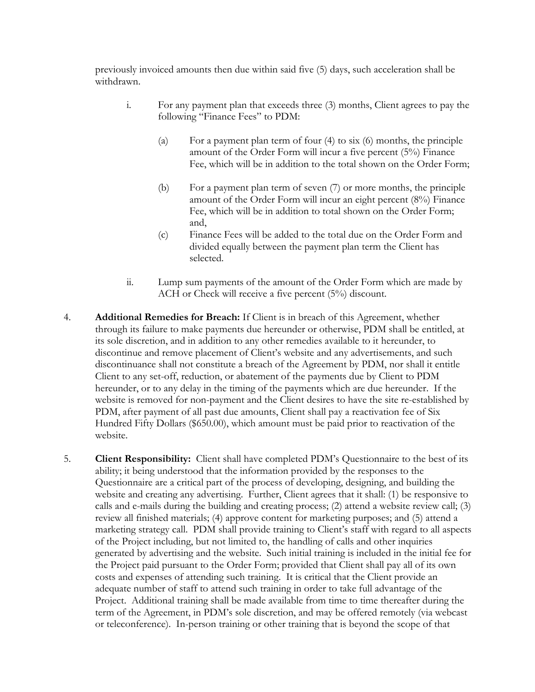previously invoiced amounts then due within said five (5) days, such acceleration shall be withdrawn.

- i. For any payment plan that exceeds three (3) months, Client agrees to pay the following "Finance Fees" to PDM:
	- (a) For a payment plan term of four  $(4)$  to six  $(6)$  months, the principle amount of the Order Form will incur a five percent (5%) Finance Fee, which will be in addition to the total shown on the Order Form;
	- (b) For a payment plan term of seven (7) or more months, the principle amount of the Order Form will incur an eight percent (8%) Finance Fee, which will be in addition to total shown on the Order Form; and,
	- (c) Finance Fees will be added to the total due on the Order Form and divided equally between the payment plan term the Client has selected.
- ii. Lump sum payments of the amount of the Order Form which are made by ACH or Check will receive a five percent (5%) discount.
- 4. **Additional Remedies for Breach:** If Client is in breach of this Agreement, whether through its failure to make payments due hereunder or otherwise, PDM shall be entitled, at its sole discretion, and in addition to any other remedies available to it hereunder, to discontinue and remove placement of Client's website and any advertisements, and such discontinuance shall not constitute a breach of the Agreement by PDM, nor shall it entitle Client to any set-off, reduction, or abatement of the payments due by Client to PDM hereunder, or to any delay in the timing of the payments which are due hereunder. If the website is removed for non-payment and the Client desires to have the site re-established by PDM, after payment of all past due amounts, Client shall pay a reactivation fee of Six Hundred Fifty Dollars (\$650.00), which amount must be paid prior to reactivation of the website.
- 5. **Client Responsibility:** Client shall have completed PDM's Questionnaire to the best of its ability; it being understood that the information provided by the responses to the Questionnaire are a critical part of the process of developing, designing, and building the website and creating any advertising. Further, Client agrees that it shall: (1) be responsive to calls and e-mails during the building and creating process; (2) attend a website review call; (3) review all finished materials; (4) approve content for marketing purposes; and (5) attend a marketing strategy call. PDM shall provide training to Client's staff with regard to all aspects of the Project including, but not limited to, the handling of calls and other inquiries generated by advertising and the website. Such initial training is included in the initial fee for the Project paid pursuant to the Order Form; provided that Client shall pay all of its own costs and expenses of attending such training. It is critical that the Client provide an adequate number of staff to attend such training in order to take full advantage of the Project. Additional training shall be made available from time to time thereafter during the term of the Agreement, in PDM's sole discretion, and may be offered remotely (via webcast or teleconference). In-person training or other training that is beyond the scope of that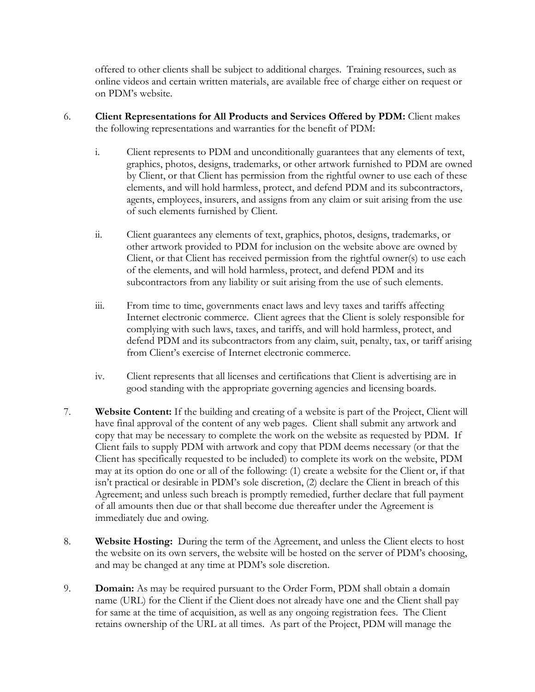offered to other clients shall be subject to additional charges. Training resources, such as online videos and certain written materials, are available free of charge either on request or on PDM's website.

- 6. **Client Representations for All Products and Services Offered by PDM:** Client makes the following representations and warranties for the benefit of PDM:
	- i. Client represents to PDM and unconditionally guarantees that any elements of text, graphics, photos, designs, trademarks, or other artwork furnished to PDM are owned by Client, or that Client has permission from the rightful owner to use each of these elements, and will hold harmless, protect, and defend PDM and its subcontractors, agents, employees, insurers, and assigns from any claim or suit arising from the use of such elements furnished by Client.
	- ii. Client guarantees any elements of text, graphics, photos, designs, trademarks, or other artwork provided to PDM for inclusion on the website above are owned by Client, or that Client has received permission from the rightful owner(s) to use each of the elements, and will hold harmless, protect, and defend PDM and its subcontractors from any liability or suit arising from the use of such elements.
	- iii. From time to time, governments enact laws and levy taxes and tariffs affecting Internet electronic commerce. Client agrees that the Client is solely responsible for complying with such laws, taxes, and tariffs, and will hold harmless, protect, and defend PDM and its subcontractors from any claim, suit, penalty, tax, or tariff arising from Client's exercise of Internet electronic commerce.
	- iv. Client represents that all licenses and certifications that Client is advertising are in good standing with the appropriate governing agencies and licensing boards.
- 7. **Website Content:** If the building and creating of a website is part of the Project, Client will have final approval of the content of any web pages. Client shall submit any artwork and copy that may be necessary to complete the work on the website as requested by PDM. If Client fails to supply PDM with artwork and copy that PDM deems necessary (or that the Client has specifically requested to be included) to complete its work on the website, PDM may at its option do one or all of the following: (1) create a website for the Client or, if that isn't practical or desirable in PDM's sole discretion, (2) declare the Client in breach of this Agreement; and unless such breach is promptly remedied, further declare that full payment of all amounts then due or that shall become due thereafter under the Agreement is immediately due and owing.
- 8. **Website Hosting:** During the term of the Agreement, and unless the Client elects to host the website on its own servers, the website will be hosted on the server of PDM's choosing, and may be changed at any time at PDM's sole discretion.
- 9. **Domain:** As may be required pursuant to the Order Form, PDM shall obtain a domain name (URL) for the Client if the Client does not already have one and the Client shall pay for same at the time of acquisition, as well as any ongoing registration fees. The Client retains ownership of the URL at all times. As part of the Project, PDM will manage the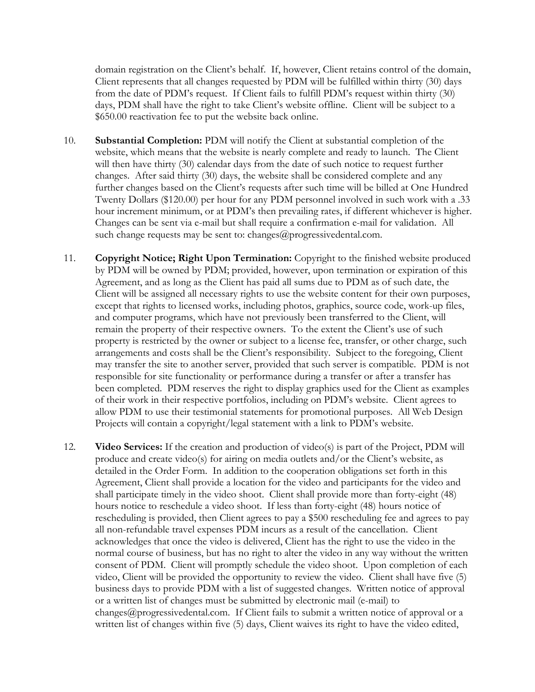domain registration on the Client's behalf. If, however, Client retains control of the domain, Client represents that all changes requested by PDM will be fulfilled within thirty (30) days from the date of PDM's request. If Client fails to fulfill PDM's request within thirty (30) days, PDM shall have the right to take Client's website offline. Client will be subject to a \$650.00 reactivation fee to put the website back online.

- 10. **Substantial Completion:** PDM will notify the Client at substantial completion of the website, which means that the website is nearly complete and ready to launch. The Client will then have thirty (30) calendar days from the date of such notice to request further changes. After said thirty (30) days, the website shall be considered complete and any further changes based on the Client's requests after such time will be billed at One Hundred Twenty Dollars (\$120.00) per hour for any PDM personnel involved in such work with a .33 hour increment minimum, or at PDM's then prevailing rates, if different whichever is higher. Changes can be sent via e-mail but shall require a confirmation e-mail for validation. All such change requests may be sent to: changes@progressivedental.com.
- 11. **Copyright Notice; Right Upon Termination:** Copyright to the finished website produced by PDM will be owned by PDM; provided, however, upon termination or expiration of this Agreement, and as long as the Client has paid all sums due to PDM as of such date, the Client will be assigned all necessary rights to use the website content for their own purposes, except that rights to licensed works, including photos, graphics, source code, work-up files, and computer programs, which have not previously been transferred to the Client, will remain the property of their respective owners. To the extent the Client's use of such property is restricted by the owner or subject to a license fee, transfer, or other charge, such arrangements and costs shall be the Client's responsibility. Subject to the foregoing, Client may transfer the site to another server, provided that such server is compatible. PDM is not responsible for site functionality or performance during a transfer or after a transfer has been completed. PDM reserves the right to display graphics used for the Client as examples of their work in their respective portfolios, including on PDM's website. Client agrees to allow PDM to use their testimonial statements for promotional purposes. All Web Design Projects will contain a copyright/legal statement with a link to PDM's website.
- 12. **Video Services:** If the creation and production of video(s) is part of the Project, PDM will produce and create video(s) for airing on media outlets and/or the Client's website, as detailed in the Order Form. In addition to the cooperation obligations set forth in this Agreement, Client shall provide a location for the video and participants for the video and shall participate timely in the video shoot. Client shall provide more than forty-eight (48) hours notice to reschedule a video shoot. If less than forty-eight (48) hours notice of rescheduling is provided, then Client agrees to pay a \$500 rescheduling fee and agrees to pay all non-refundable travel expenses PDM incurs as a result of the cancellation. Client acknowledges that once the video is delivered, Client has the right to use the video in the normal course of business, but has no right to alter the video in any way without the written consent of PDM. Client will promptly schedule the video shoot. Upon completion of each video, Client will be provided the opportunity to review the video. Client shall have five (5) business days to provide PDM with a list of suggested changes. Written notice of approval or a written list of changes must be submitted by electronic mail (e-mail) to changes@progressivedental.com. If Client fails to submit a written notice of approval or a written list of changes within five (5) days, Client waives its right to have the video edited,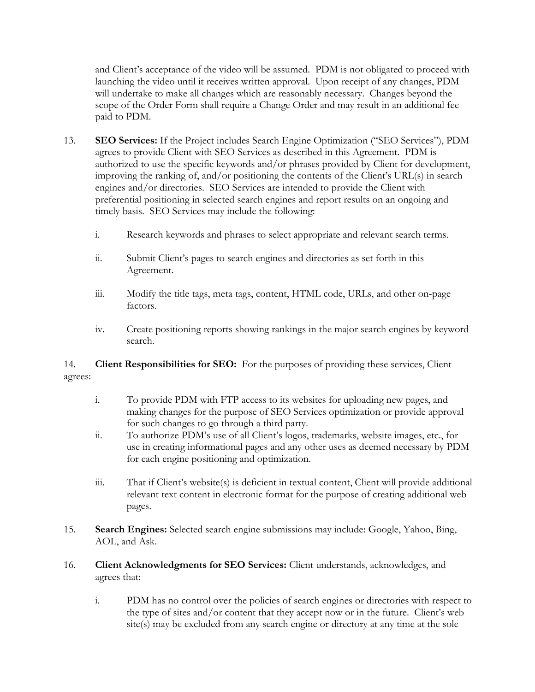and Client's acceptance of the video will be assumed. PDM is not obligated to proceed with launching the video until it receives written approval. Upon receipt of any changes, PDM will undertake to make all changes which are reasonably necessary. Changes beyond the scope of the Order Form shall require a Change Order and may result in an additional fee paid to PDM.

- 13. **SEO Services:** If the Project includes Search Engine Optimization ("SEO Services"), PDM agrees to provide Client with SEO Services as described in this Agreement. PDM is authorized to use the specific keywords and/or phrases provided by Client for development, improving the ranking of, and/or positioning the contents of the Client's URL(s) in search engines and/or directories. SEO Services are intended to provide the Client with preferential positioning in selected search engines and report results on an ongoing and timely basis. SEO Services may include the following:
	- i. Research keywords and phrases to select appropriate and relevant search terms.
	- ii. Submit Client's pages to search engines and directories as set forth in this Agreement.
	- iii. Modify the title tags, meta tags, content, HTML code, URLs, and other on-page factors.
	- iv. Create positioning reports showing rankings in the major search engines by keyword search.

14. **Client Responsibilities for SEO:** For the purposes of providing these services, Client agrees:

- i. To provide PDM with FTP access to its websites for uploading new pages, and making changes for the purpose of SEO Services optimization or provide approval for such changes to go through a third party.
- ii. To authorize PDM's use of all Client's logos, trademarks, website images, etc., for use in creating informational pages and any other uses as deemed necessary by PDM for each engine positioning and optimization.
- iii. That if Client's website(s) is deficient in textual content, Client will provide additional relevant text content in electronic format for the purpose of creating additional web pages.
- 15. **Search Engines:** Selected search engine submissions may include: Google, Yahoo, Bing, AOL, and Ask.
- 16. **Client Acknowledgments for SEO Services:** Client understands, acknowledges, and agrees that:
	- i. PDM has no control over the policies of search engines or directories with respect to the type of sites and/or content that they accept now or in the future. Client's web site(s) may be excluded from any search engine or directory at any time at the sole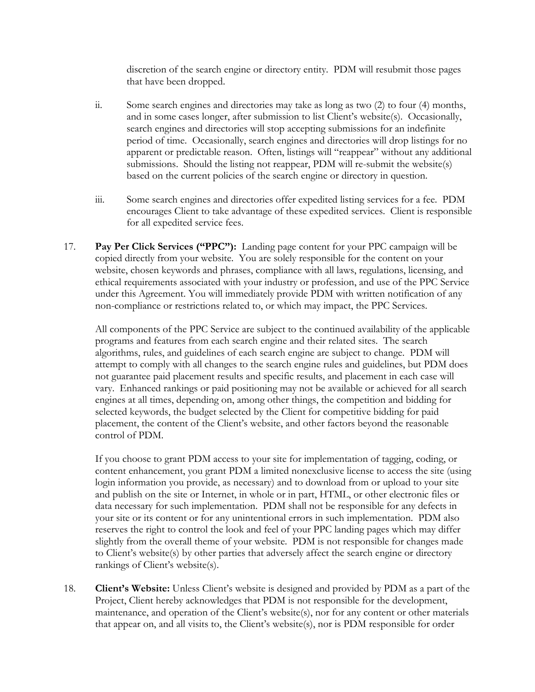discretion of the search engine or directory entity. PDM will resubmit those pages that have been dropped.

- ii. Some search engines and directories may take as long as two (2) to four (4) months, and in some cases longer, after submission to list Client's website(s). Occasionally, search engines and directories will stop accepting submissions for an indefinite period of time. Occasionally, search engines and directories will drop listings for no apparent or predictable reason. Often, listings will "reappear" without any additional submissions. Should the listing not reappear, PDM will re-submit the website(s) based on the current policies of the search engine or directory in question.
- iii. Some search engines and directories offer expedited listing services for a fee. PDM encourages Client to take advantage of these expedited services. Client is responsible for all expedited service fees.
- 17. **Pay Per Click Services ("PPC"):** Landing page content for your PPC campaign will be copied directly from your website. You are solely responsible for the content on your website, chosen keywords and phrases, compliance with all laws, regulations, licensing, and ethical requirements associated with your industry or profession, and use of the PPC Service under this Agreement. You will immediately provide PDM with written notification of any non-compliance or restrictions related to, or which may impact, the PPC Services.

All components of the PPC Service are subject to the continued availability of the applicable programs and features from each search engine and their related sites. The search algorithms, rules, and guidelines of each search engine are subject to change. PDM will attempt to comply with all changes to the search engine rules and guidelines, but PDM does not guarantee paid placement results and specific results, and placement in each case will vary. Enhanced rankings or paid positioning may not be available or achieved for all search engines at all times, depending on, among other things, the competition and bidding for selected keywords, the budget selected by the Client for competitive bidding for paid placement, the content of the Client's website, and other factors beyond the reasonable control of PDM.

If you choose to grant PDM access to your site for implementation of tagging, coding, or content enhancement, you grant PDM a limited nonexclusive license to access the site (using login information you provide, as necessary) and to download from or upload to your site and publish on the site or Internet, in whole or in part, HTML, or other electronic files or data necessary for such implementation. PDM shall not be responsible for any defects in your site or its content or for any unintentional errors in such implementation. PDM also reserves the right to control the look and feel of your PPC landing pages which may differ slightly from the overall theme of your website. PDM is not responsible for changes made to Client's website(s) by other parties that adversely affect the search engine or directory rankings of Client's website(s).

18. **Client's Website:** Unless Client's website is designed and provided by PDM as a part of the Project, Client hereby acknowledges that PDM is not responsible for the development, maintenance, and operation of the Client's website(s), nor for any content or other materials that appear on, and all visits to, the Client's website(s), nor is PDM responsible for order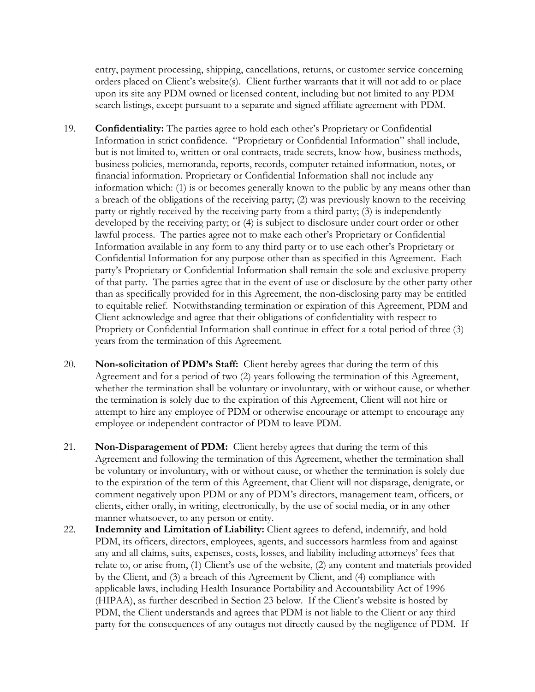entry, payment processing, shipping, cancellations, returns, or customer service concerning orders placed on Client's website(s). Client further warrants that it will not add to or place upon its site any PDM owned or licensed content, including but not limited to any PDM search listings, except pursuant to a separate and signed affiliate agreement with PDM.

- 19. **Confidentiality:** The parties agree to hold each other's Proprietary or Confidential Information in strict confidence. "Proprietary or Confidential Information" shall include, but is not limited to, written or oral contracts, trade secrets, know-how, business methods, business policies, memoranda, reports, records, computer retained information, notes, or financial information. Proprietary or Confidential Information shall not include any information which: (1) is or becomes generally known to the public by any means other than a breach of the obligations of the receiving party; (2) was previously known to the receiving party or rightly received by the receiving party from a third party; (3) is independently developed by the receiving party; or (4) is subject to disclosure under court order or other lawful process. The parties agree not to make each other's Proprietary or Confidential Information available in any form to any third party or to use each other's Proprietary or Confidential Information for any purpose other than as specified in this Agreement. Each party's Proprietary or Confidential Information shall remain the sole and exclusive property of that party. The parties agree that in the event of use or disclosure by the other party other than as specifically provided for in this Agreement, the non-disclosing party may be entitled to equitable relief. Notwithstanding termination or expiration of this Agreement, PDM and Client acknowledge and agree that their obligations of confidentiality with respect to Propriety or Confidential Information shall continue in effect for a total period of three (3) years from the termination of this Agreement.
- 20. **Non-solicitation of PDM's Staff:** Client hereby agrees that during the term of this Agreement and for a period of two (2) years following the termination of this Agreement, whether the termination shall be voluntary or involuntary, with or without cause, or whether the termination is solely due to the expiration of this Agreement, Client will not hire or attempt to hire any employee of PDM or otherwise encourage or attempt to encourage any employee or independent contractor of PDM to leave PDM.
- 21. **Non-Disparagement of PDM:** Client hereby agrees that during the term of this Agreement and following the termination of this Agreement, whether the termination shall be voluntary or involuntary, with or without cause, or whether the termination is solely due to the expiration of the term of this Agreement, that Client will not disparage, denigrate, or comment negatively upon PDM or any of PDM's directors, management team, officers, or clients, either orally, in writing, electronically, by the use of social media, or in any other manner whatsoever, to any person or entity.
- 22. **Indemnity and Limitation of Liability:** Client agrees to defend, indemnify, and hold PDM, its officers, directors, employees, agents, and successors harmless from and against any and all claims, suits, expenses, costs, losses, and liability including attorneys' fees that relate to, or arise from, (1) Client's use of the website, (2) any content and materials provided by the Client, and (3) a breach of this Agreement by Client, and (4) compliance with applicable laws, including Health Insurance Portability and Accountability Act of 1996 (HIPAA), as further described in Section 23 below. If the Client's website is hosted by PDM, the Client understands and agrees that PDM is not liable to the Client or any third party for the consequences of any outages not directly caused by the negligence of PDM. If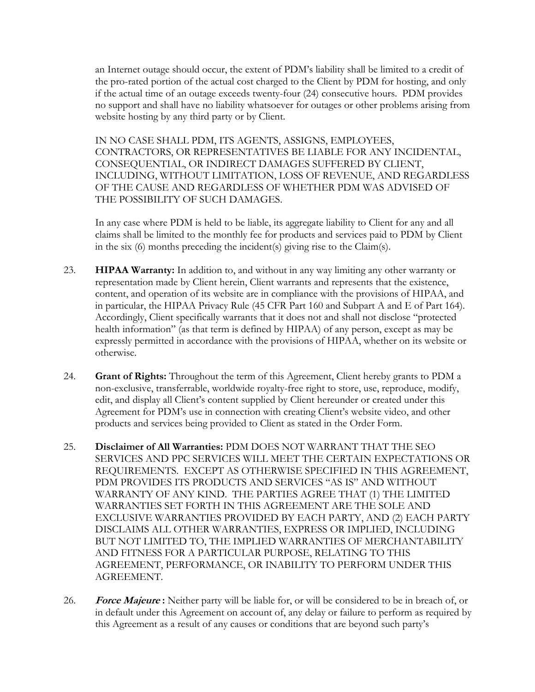an Internet outage should occur, the extent of PDM's liability shall be limited to a credit of the pro-rated portion of the actual cost charged to the Client by PDM for hosting, and only if the actual time of an outage exceeds twenty-four (24) consecutive hours. PDM provides no support and shall have no liability whatsoever for outages or other problems arising from website hosting by any third party or by Client.

IN NO CASE SHALL PDM, ITS AGENTS, ASSIGNS, EMPLOYEES, CONTRACTORS, OR REPRESENTATIVES BE LIABLE FOR ANY INCIDENTAL, CONSEQUENTIAL, OR INDIRECT DAMAGES SUFFERED BY CLIENT, INCLUDING, WITHOUT LIMITATION, LOSS OF REVENUE, AND REGARDLESS OF THE CAUSE AND REGARDLESS OF WHETHER PDM WAS ADVISED OF THE POSSIBILITY OF SUCH DAMAGES.

In any case where PDM is held to be liable, its aggregate liability to Client for any and all claims shall be limited to the monthly fee for products and services paid to PDM by Client in the six (6) months preceding the incident(s) giving rise to the Claim(s).

- 23. **HIPAA Warranty:** In addition to, and without in any way limiting any other warranty or representation made by Client herein, Client warrants and represents that the existence, content, and operation of its website are in compliance with the provisions of HIPAA, and in particular, the HIPAA Privacy Rule (45 CFR Part 160 and Subpart A and E of Part 164). Accordingly, Client specifically warrants that it does not and shall not disclose "protected health information" (as that term is defined by HIPAA) of any person, except as may be expressly permitted in accordance with the provisions of HIPAA, whether on its website or otherwise.
- 24. **Grant of Rights:** Throughout the term of this Agreement, Client hereby grants to PDM a non-exclusive, transferrable, worldwide royalty-free right to store, use, reproduce, modify, edit, and display all Client's content supplied by Client hereunder or created under this Agreement for PDM's use in connection with creating Client's website video, and other products and services being provided to Client as stated in the Order Form.
- 25. **Disclaimer of All Warranties:** PDM DOES NOT WARRANT THAT THE SEO SERVICES AND PPC SERVICES WILL MEET THE CERTAIN EXPECTATIONS OR REQUIREMENTS. EXCEPT AS OTHERWISE SPECIFIED IN THIS AGREEMENT, PDM PROVIDES ITS PRODUCTS AND SERVICES "AS IS" AND WITHOUT WARRANTY OF ANY KIND. THE PARTIES AGREE THAT (1) THE LIMITED WARRANTIES SET FORTH IN THIS AGREEMENT ARE THE SOLE AND EXCLUSIVE WARRANTIES PROVIDED BY EACH PARTY, AND (2) EACH PARTY DISCLAIMS ALL OTHER WARRANTIES, EXPRESS OR IMPLIED, INCLUDING BUT NOT LIMITED TO, THE IMPLIED WARRANTIES OF MERCHANTABILITY AND FITNESS FOR A PARTICULAR PURPOSE, RELATING TO THIS AGREEMENT, PERFORMANCE, OR INABILITY TO PERFORM UNDER THIS AGREEMENT.
- 26. **Force Majeure :** Neither party will be liable for, or will be considered to be in breach of, or in default under this Agreement on account of, any delay or failure to perform as required by this Agreement as a result of any causes or conditions that are beyond such party's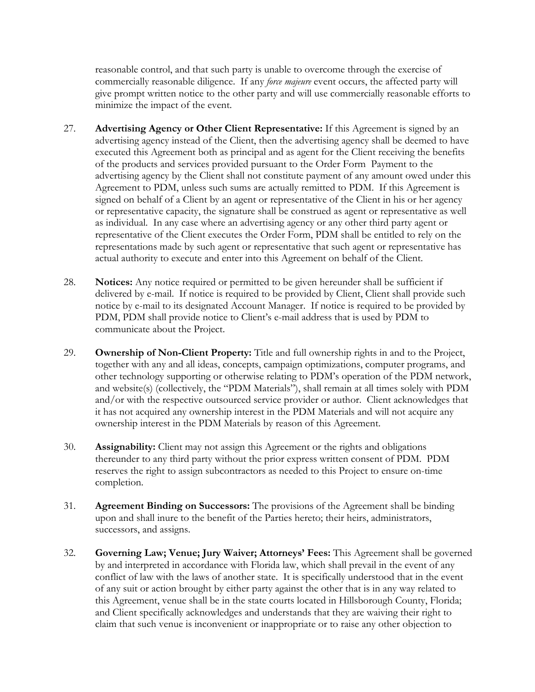reasonable control, and that such party is unable to overcome through the exercise of commercially reasonable diligence. If any *force majeure* event occurs, the affected party will give prompt written notice to the other party and will use commercially reasonable efforts to minimize the impact of the event.

- 27. **Advertising Agency or Other Client Representative:** If this Agreement is signed by an advertising agency instead of the Client, then the advertising agency shall be deemed to have executed this Agreement both as principal and as agent for the Client receiving the benefits of the products and services provided pursuant to the Order Form Payment to the advertising agency by the Client shall not constitute payment of any amount owed under this Agreement to PDM, unless such sums are actually remitted to PDM. If this Agreement is signed on behalf of a Client by an agent or representative of the Client in his or her agency or representative capacity, the signature shall be construed as agent or representative as well as individual. In any case where an advertising agency or any other third party agent or representative of the Client executes the Order Form, PDM shall be entitled to rely on the representations made by such agent or representative that such agent or representative has actual authority to execute and enter into this Agreement on behalf of the Client.
- 28. **Notices:** Any notice required or permitted to be given hereunder shall be sufficient if delivered by e-mail. If notice is required to be provided by Client, Client shall provide such notice by e-mail to its designated Account Manager. If notice is required to be provided by PDM, PDM shall provide notice to Client's e-mail address that is used by PDM to communicate about the Project.
- 29. **Ownership of Non-Client Property:** Title and full ownership rights in and to the Project, together with any and all ideas, concepts, campaign optimizations, computer programs, and other technology supporting or otherwise relating to PDM's operation of the PDM network, and website(s) (collectively, the "PDM Materials"), shall remain at all times solely with PDM and/or with the respective outsourced service provider or author. Client acknowledges that it has not acquired any ownership interest in the PDM Materials and will not acquire any ownership interest in the PDM Materials by reason of this Agreement.
- 30. **Assignability:** Client may not assign this Agreement or the rights and obligations thereunder to any third party without the prior express written consent of PDM. PDM reserves the right to assign subcontractors as needed to this Project to ensure on-time completion.
- 31. **Agreement Binding on Successors:** The provisions of the Agreement shall be binding upon and shall inure to the benefit of the Parties hereto; their heirs, administrators, successors, and assigns.
- 32. **Governing Law; Venue; Jury Waiver; Attorneys' Fees:** This Agreement shall be governed by and interpreted in accordance with Florida law, which shall prevail in the event of any conflict of law with the laws of another state. It is specifically understood that in the event of any suit or action brought by either party against the other that is in any way related to this Agreement, venue shall be in the state courts located in Hillsborough County, Florida; and Client specifically acknowledges and understands that they are waiving their right to claim that such venue is inconvenient or inappropriate or to raise any other objection to